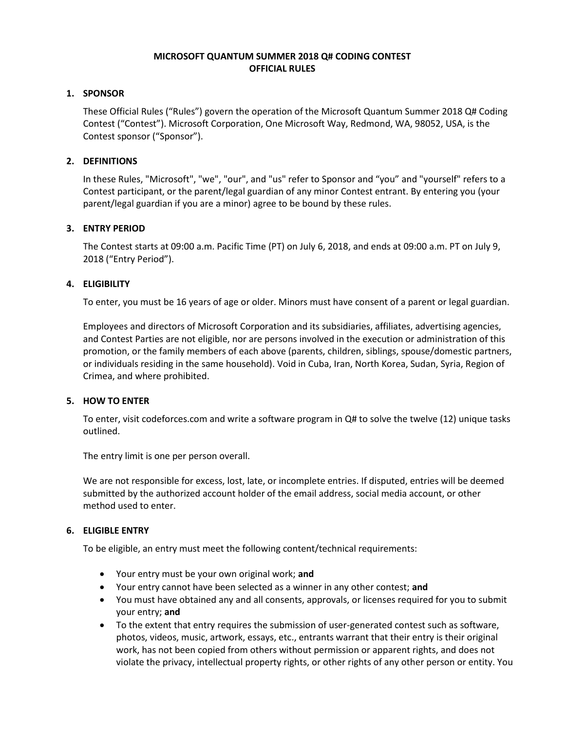## **MICROSOFT QUANTUM SUMMER 2018 Q# CODING CONTEST OFFICIAL RULES**

## **1. SPONSOR**

These Official Rules ("Rules") govern the operation of the Microsoft Quantum Summer 2018 Q# Coding Contest ("Contest"). Microsoft Corporation, One Microsoft Way, Redmond, WA, 98052, USA, is the Contest sponsor ("Sponsor").

## **2. DEFINITIONS**

In these Rules, "Microsoft", "we", "our", and "us" refer to Sponsor and "you" and "yourself" refers to a Contest participant, or the parent/legal guardian of any minor Contest entrant. By entering you (your parent/legal guardian if you are a minor) agree to be bound by these rules.

# **3. ENTRY PERIOD**

The Contest starts at 09:00 a.m. Pacific Time (PT) on July 6, 2018, and ends at 09:00 a.m. PT on July 9, 2018 ("Entry Period").

# **4. ELIGIBILITY**

To enter, you must be 16 years of age or older. Minors must have consent of a parent or legal guardian.

Employees and directors of Microsoft Corporation and its subsidiaries, affiliates, advertising agencies, and Contest Parties are not eligible, nor are persons involved in the execution or administration of this promotion, or the family members of each above (parents, children, siblings, spouse/domestic partners, or individuals residing in the same household). Void in Cuba, Iran, North Korea, Sudan, Syria, Region of Crimea, and where prohibited.

#### **5. HOW TO ENTER**

To enter, visit codeforces.com and write a software program in Q# to solve the twelve (12) unique tasks outlined.

The entry limit is one per person overall.

We are not responsible for excess, lost, late, or incomplete entries. If disputed, entries will be deemed submitted by the authorized account holder of the email address, social media account, or other method used to enter.

#### **6. ELIGIBLE ENTRY**

To be eligible, an entry must meet the following content/technical requirements:

- Your entry must be your own original work; **and**
- Your entry cannot have been selected as a winner in any other contest; **and**
- You must have obtained any and all consents, approvals, or licenses required for you to submit your entry; **and**
- To the extent that entry requires the submission of user-generated contest such as software, photos, videos, music, artwork, essays, etc., entrants warrant that their entry is their original work, has not been copied from others without permission or apparent rights, and does not violate the privacy, intellectual property rights, or other rights of any other person or entity. You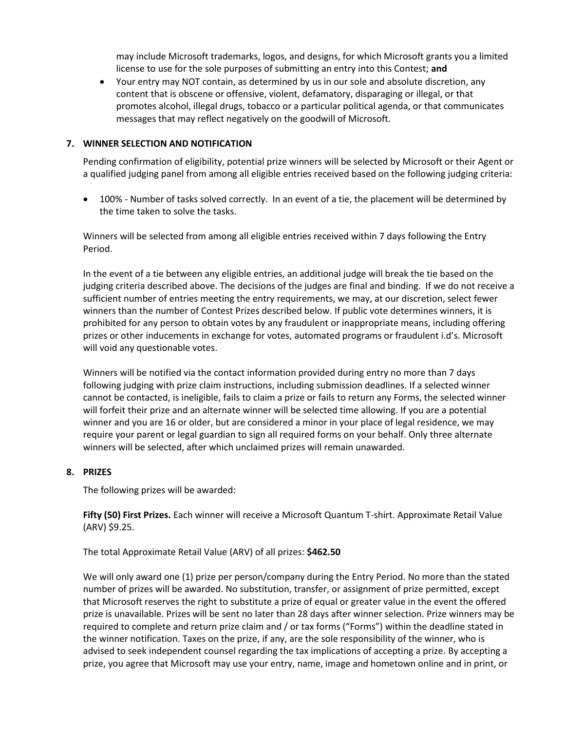may include Microsoft trademarks, logos, and designs, for which Microsoft grants you a limited license to use for the sole purposes of submitting an entry into this Contest; **and**

• Your entry may NOT contain, as determined by us in our sole and absolute discretion, any content that is obscene or offensive, violent, defamatory, disparaging or illegal, or that promotes alcohol, illegal drugs, tobacco or a particular political agenda, or that communicates messages that may reflect negatively on the goodwill of Microsoft.

#### **7. WINNER SELECTION AND NOTIFICATION**

Pending confirmation of eligibility, potential prize winners will be selected by Microsoft or their Agent or a qualified judging panel from among all eligible entries received based on the following judging criteria:

• 100% - Number of tasks solved correctly. In an event of a tie, the placement will be determined by the time taken to solve the tasks.

Winners will be selected from among all eligible entries received within 7 days following the Entry Period.

In the event of a tie between any eligible entries, an additional judge will break the tie based on the judging criteria described above. The decisions of the judges are final and binding. If we do not receive a sufficient number of entries meeting the entry requirements, we may, at our discretion, select fewer winners than the number of Contest Prizes described below. If public vote determines winners, it is prohibited for any person to obtain votes by any fraudulent or inappropriate means, including offering prizes or other inducements in exchange for votes, automated programs or fraudulent i.d's. Microsoft will void any questionable votes.

Winners will be notified via the contact information provided during entry no more than 7 days following judging with prize claim instructions, including submission deadlines. If a selected winner cannot be contacted, is ineligible, fails to claim a prize or fails to return any Forms, the selected winner will forfeit their prize and an alternate winner will be selected time allowing. If you are a potential winner and you are 16 or older, but are considered a minor in your place of legal residence, we may require your parent or legal guardian to sign all required forms on your behalf. Only three alternate winners will be selected, after which unclaimed prizes will remain unawarded.

#### **8. PRIZES**

The following prizes will be awarded:

**Fifty (50) First Prizes.** Each winner will receive a Microsoft Quantum T-shirt. Approximate Retail Value (ARV) \$9.25.

#### The total Approximate Retail Value (ARV) of all prizes: **\$462.50**

We will only award one (1) prize per person/company during the Entry Period. No more than the stated number of prizes will be awarded. No substitution, transfer, or assignment of prize permitted, except that Microsoft reserves the right to substitute a prize of equal or greater value in the event the offered prize is unavailable. Prizes will be sent no later than 28 days after winner selection. Prize winners may be required to complete and return prize claim and / or tax forms ("Forms") within the deadline stated in the winner notification. Taxes on the prize, if any, are the sole responsibility of the winner, who is advised to seek independent counsel regarding the tax implications of accepting a prize. By accepting a prize, you agree that Microsoft may use your entry, name, image and hometown online and in print, or